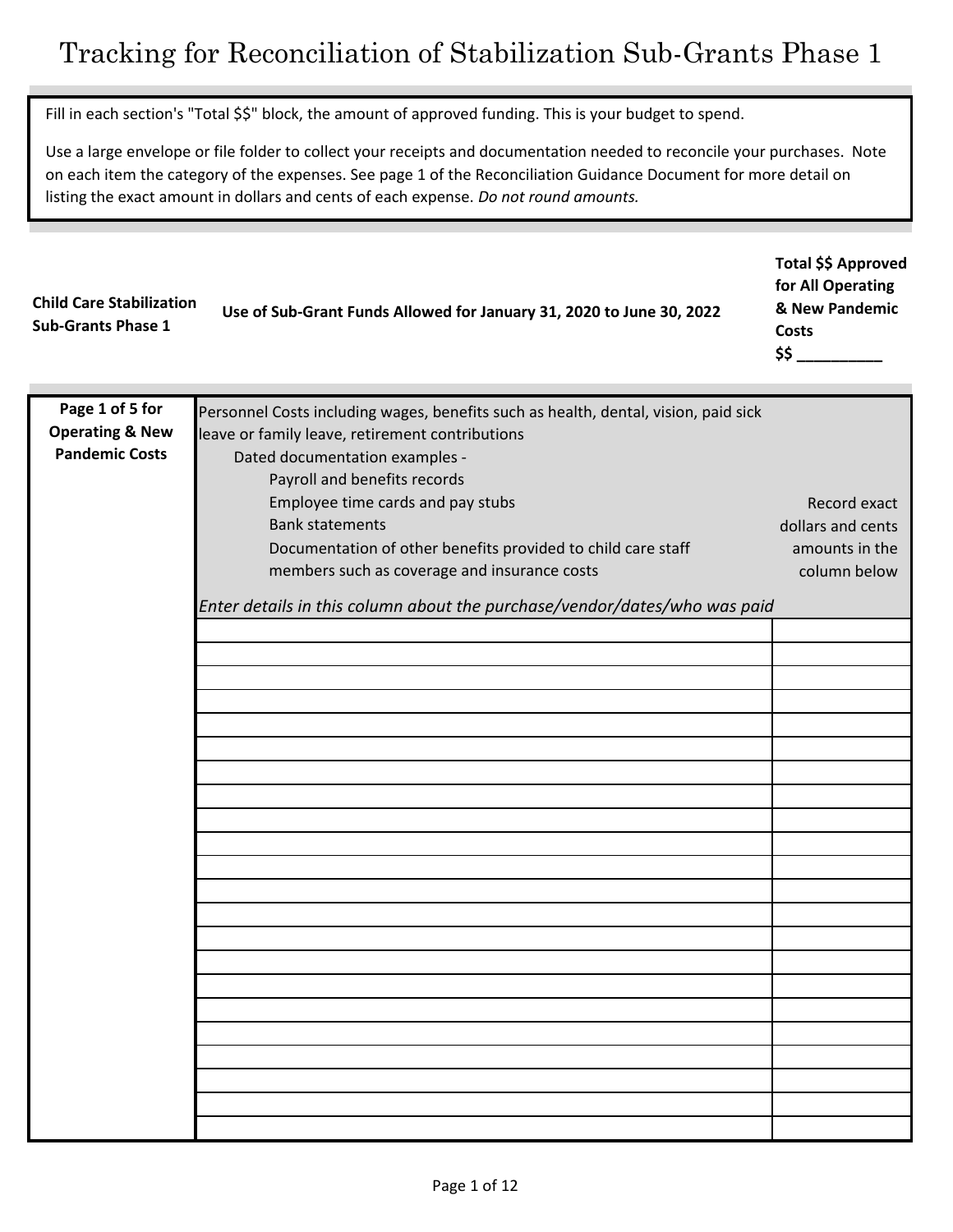Fill in each section's "Total \$\$" block, the amount of approved funding. This is your budget to spend.

Use a large envelope or file folder to collect your receipts and documentation needed to reconcile your purchases. Note on each item the category of the expenses. See page 1 of the Reconciliation Guidance Document for more detail on listing the exact amount in dollars and cents of each expense. *Do not round amounts.* 

**Total \$\$ Approved**

| <b>Child Care Stabilization</b><br><b>Sub-Grants Phase 1</b> | Use of Sub-Grant Funds Allowed for January 31, 2020 to June 30, 2022 | for All Operating |
|--------------------------------------------------------------|----------------------------------------------------------------------|-------------------|
|                                                              |                                                                      | & New Pandemic    |
|                                                              |                                                                      | Costs             |
|                                                              |                                                                      |                   |

| Page 1 of 5 for            | Personnel Costs including wages, benefits such as health, dental, vision, paid sick |                   |
|----------------------------|-------------------------------------------------------------------------------------|-------------------|
| <b>Operating &amp; New</b> | leave or family leave, retirement contributions                                     |                   |
| <b>Pandemic Costs</b>      |                                                                                     |                   |
|                            | Dated documentation examples -                                                      |                   |
|                            | Payroll and benefits records                                                        |                   |
|                            | Employee time cards and pay stubs                                                   | Record exact      |
|                            | <b>Bank statements</b>                                                              | dollars and cents |
|                            | Documentation of other benefits provided to child care staff                        | amounts in the    |
|                            |                                                                                     |                   |
|                            | members such as coverage and insurance costs                                        | column below      |
|                            | Enter details in this column about the purchase/vendor/dates/who was paid           |                   |
|                            |                                                                                     |                   |
|                            |                                                                                     |                   |
|                            |                                                                                     |                   |
|                            |                                                                                     |                   |
|                            |                                                                                     |                   |
|                            |                                                                                     |                   |
|                            |                                                                                     |                   |
|                            |                                                                                     |                   |
|                            |                                                                                     |                   |
|                            |                                                                                     |                   |
|                            |                                                                                     |                   |
|                            |                                                                                     |                   |
|                            |                                                                                     |                   |
|                            |                                                                                     |                   |
|                            |                                                                                     |                   |
|                            |                                                                                     |                   |
|                            |                                                                                     |                   |
|                            |                                                                                     |                   |
|                            |                                                                                     |                   |
|                            |                                                                                     |                   |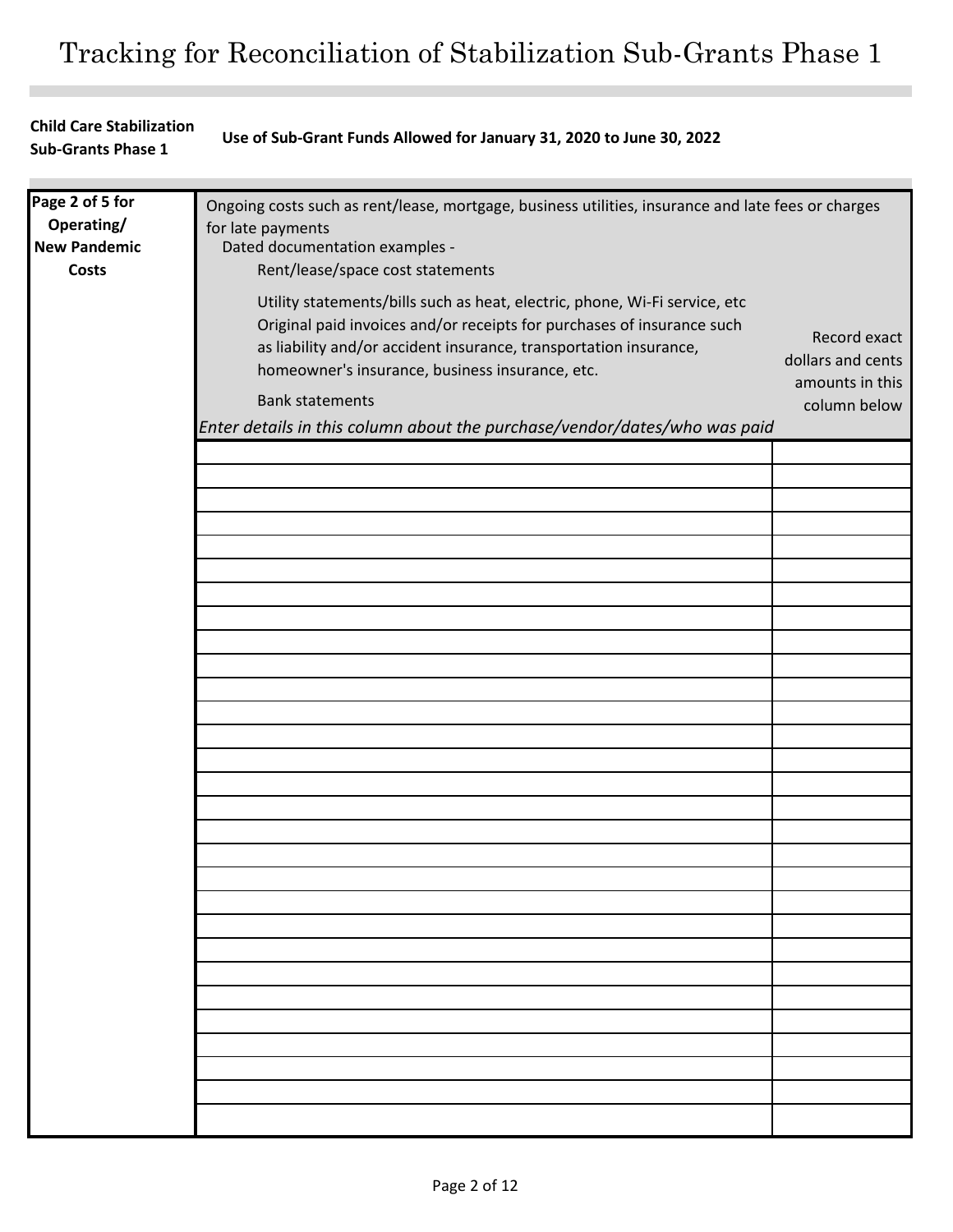## **Child Care Stabilization Sub-Grants Phase 1 Use of Sub-Grant Funds Allowed for January 31, 2020 to June 30, 2022**

| Page 2 of 5 for     | Ongoing costs such as rent/lease, mortgage, business utilities, insurance and late fees or charges                                                                                                                                                                                                                                                                                  |                                                                      |
|---------------------|-------------------------------------------------------------------------------------------------------------------------------------------------------------------------------------------------------------------------------------------------------------------------------------------------------------------------------------------------------------------------------------|----------------------------------------------------------------------|
| Operating/          | for late payments                                                                                                                                                                                                                                                                                                                                                                   |                                                                      |
| <b>New Pandemic</b> | Dated documentation examples -                                                                                                                                                                                                                                                                                                                                                      |                                                                      |
| <b>Costs</b>        | Rent/lease/space cost statements                                                                                                                                                                                                                                                                                                                                                    |                                                                      |
|                     | Utility statements/bills such as heat, electric, phone, Wi-Fi service, etc<br>Original paid invoices and/or receipts for purchases of insurance such<br>as liability and/or accident insurance, transportation insurance,<br>homeowner's insurance, business insurance, etc.<br><b>Bank statements</b><br>Enter details in this column about the purchase/vendor/dates/who was paid | Record exact<br>dollars and cents<br>amounts in this<br>column below |
|                     |                                                                                                                                                                                                                                                                                                                                                                                     |                                                                      |
|                     |                                                                                                                                                                                                                                                                                                                                                                                     |                                                                      |
|                     |                                                                                                                                                                                                                                                                                                                                                                                     |                                                                      |
|                     |                                                                                                                                                                                                                                                                                                                                                                                     |                                                                      |
|                     |                                                                                                                                                                                                                                                                                                                                                                                     |                                                                      |
|                     |                                                                                                                                                                                                                                                                                                                                                                                     |                                                                      |
|                     |                                                                                                                                                                                                                                                                                                                                                                                     |                                                                      |
|                     |                                                                                                                                                                                                                                                                                                                                                                                     |                                                                      |
|                     |                                                                                                                                                                                                                                                                                                                                                                                     |                                                                      |
|                     |                                                                                                                                                                                                                                                                                                                                                                                     |                                                                      |
|                     |                                                                                                                                                                                                                                                                                                                                                                                     |                                                                      |
|                     |                                                                                                                                                                                                                                                                                                                                                                                     |                                                                      |
|                     |                                                                                                                                                                                                                                                                                                                                                                                     |                                                                      |
|                     |                                                                                                                                                                                                                                                                                                                                                                                     |                                                                      |
|                     |                                                                                                                                                                                                                                                                                                                                                                                     |                                                                      |
|                     |                                                                                                                                                                                                                                                                                                                                                                                     |                                                                      |
|                     |                                                                                                                                                                                                                                                                                                                                                                                     |                                                                      |
|                     |                                                                                                                                                                                                                                                                                                                                                                                     |                                                                      |
|                     |                                                                                                                                                                                                                                                                                                                                                                                     |                                                                      |
|                     |                                                                                                                                                                                                                                                                                                                                                                                     |                                                                      |
|                     |                                                                                                                                                                                                                                                                                                                                                                                     |                                                                      |
|                     |                                                                                                                                                                                                                                                                                                                                                                                     |                                                                      |
|                     |                                                                                                                                                                                                                                                                                                                                                                                     |                                                                      |
|                     |                                                                                                                                                                                                                                                                                                                                                                                     |                                                                      |
|                     |                                                                                                                                                                                                                                                                                                                                                                                     |                                                                      |
|                     |                                                                                                                                                                                                                                                                                                                                                                                     |                                                                      |
|                     |                                                                                                                                                                                                                                                                                                                                                                                     |                                                                      |
|                     |                                                                                                                                                                                                                                                                                                                                                                                     |                                                                      |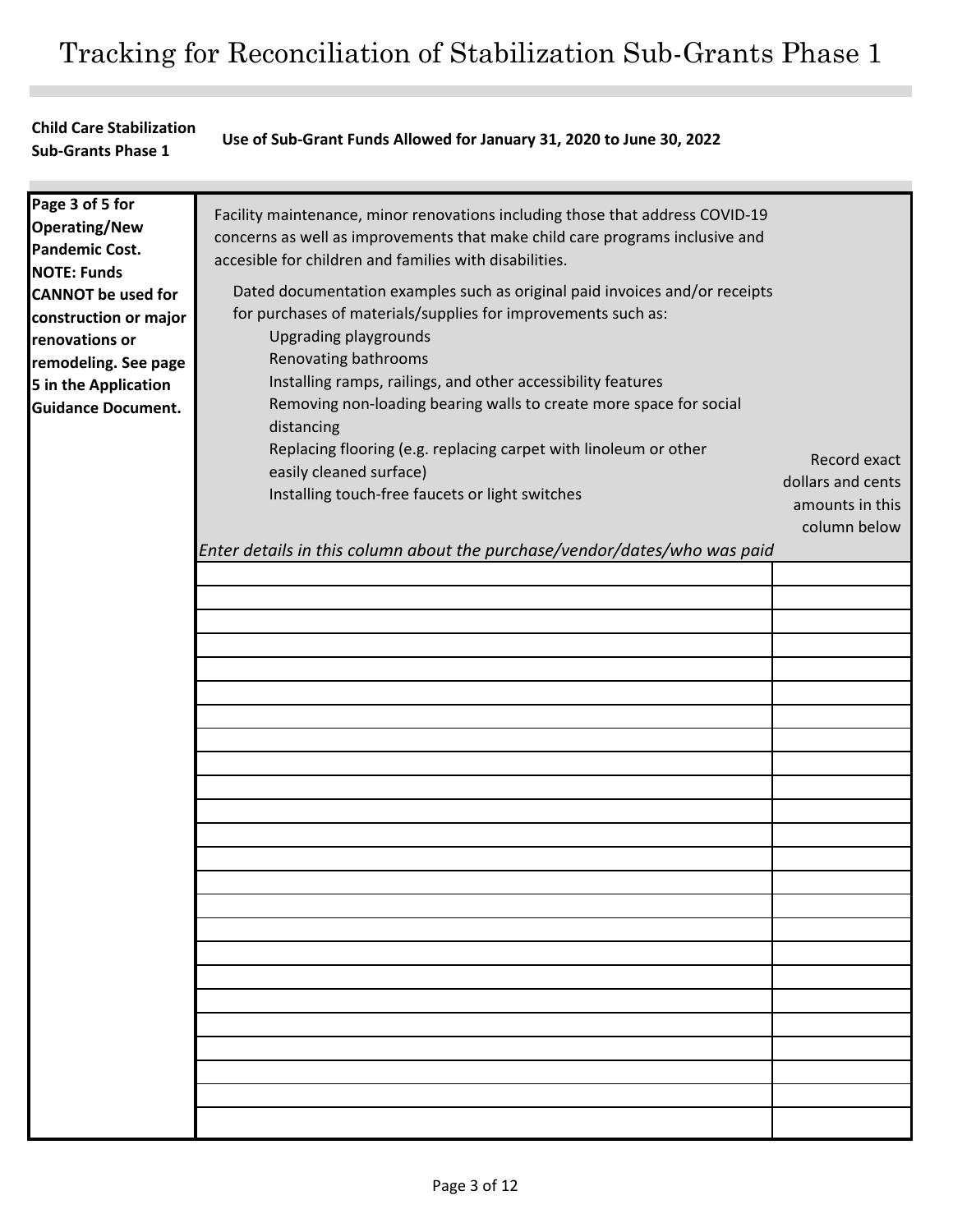## **Child Care Stabilization Sub-Grants Phase 1 Use of Sub-Grant Funds Allowed for January 31, 2020 to June 30, 2022**

| Page 3 of 5 for<br><b>Operating/New</b><br><b>Pandemic Cost.</b><br><b>NOTE: Funds</b><br><b>CANNOT</b> be used for<br>construction or major<br>renovations or<br>remodeling. See page<br>5 in the Application | Facility maintenance, minor renovations including those that address COVID-19<br>concerns as well as improvements that make child care programs inclusive and<br>accesible for children and families with disabilities.<br>Dated documentation examples such as original paid invoices and/or receipts<br>for purchases of materials/supplies for improvements such as:<br><b>Upgrading playgrounds</b><br>Renovating bathrooms<br>Installing ramps, railings, and other accessibility features |                                                                      |
|----------------------------------------------------------------------------------------------------------------------------------------------------------------------------------------------------------------|-------------------------------------------------------------------------------------------------------------------------------------------------------------------------------------------------------------------------------------------------------------------------------------------------------------------------------------------------------------------------------------------------------------------------------------------------------------------------------------------------|----------------------------------------------------------------------|
| <b>Guidance Document.</b>                                                                                                                                                                                      | Removing non-loading bearing walls to create more space for social<br>distancing<br>Replacing flooring (e.g. replacing carpet with linoleum or other<br>easily cleaned surface)<br>Installing touch-free faucets or light switches<br>Enter details in this column about the purchase/vendor/dates/who was paid                                                                                                                                                                                 | Record exact<br>dollars and cents<br>amounts in this<br>column below |
|                                                                                                                                                                                                                |                                                                                                                                                                                                                                                                                                                                                                                                                                                                                                 |                                                                      |
|                                                                                                                                                                                                                |                                                                                                                                                                                                                                                                                                                                                                                                                                                                                                 |                                                                      |
|                                                                                                                                                                                                                |                                                                                                                                                                                                                                                                                                                                                                                                                                                                                                 |                                                                      |
|                                                                                                                                                                                                                |                                                                                                                                                                                                                                                                                                                                                                                                                                                                                                 |                                                                      |
|                                                                                                                                                                                                                |                                                                                                                                                                                                                                                                                                                                                                                                                                                                                                 |                                                                      |
|                                                                                                                                                                                                                |                                                                                                                                                                                                                                                                                                                                                                                                                                                                                                 |                                                                      |
|                                                                                                                                                                                                                |                                                                                                                                                                                                                                                                                                                                                                                                                                                                                                 |                                                                      |
|                                                                                                                                                                                                                |                                                                                                                                                                                                                                                                                                                                                                                                                                                                                                 |                                                                      |
|                                                                                                                                                                                                                |                                                                                                                                                                                                                                                                                                                                                                                                                                                                                                 |                                                                      |
|                                                                                                                                                                                                                |                                                                                                                                                                                                                                                                                                                                                                                                                                                                                                 |                                                                      |
|                                                                                                                                                                                                                |                                                                                                                                                                                                                                                                                                                                                                                                                                                                                                 |                                                                      |
|                                                                                                                                                                                                                |                                                                                                                                                                                                                                                                                                                                                                                                                                                                                                 |                                                                      |
|                                                                                                                                                                                                                |                                                                                                                                                                                                                                                                                                                                                                                                                                                                                                 |                                                                      |
|                                                                                                                                                                                                                |                                                                                                                                                                                                                                                                                                                                                                                                                                                                                                 |                                                                      |
|                                                                                                                                                                                                                |                                                                                                                                                                                                                                                                                                                                                                                                                                                                                                 |                                                                      |
|                                                                                                                                                                                                                |                                                                                                                                                                                                                                                                                                                                                                                                                                                                                                 |                                                                      |
|                                                                                                                                                                                                                |                                                                                                                                                                                                                                                                                                                                                                                                                                                                                                 |                                                                      |
|                                                                                                                                                                                                                |                                                                                                                                                                                                                                                                                                                                                                                                                                                                                                 |                                                                      |
|                                                                                                                                                                                                                |                                                                                                                                                                                                                                                                                                                                                                                                                                                                                                 |                                                                      |
|                                                                                                                                                                                                                |                                                                                                                                                                                                                                                                                                                                                                                                                                                                                                 |                                                                      |
|                                                                                                                                                                                                                |                                                                                                                                                                                                                                                                                                                                                                                                                                                                                                 |                                                                      |
|                                                                                                                                                                                                                |                                                                                                                                                                                                                                                                                                                                                                                                                                                                                                 |                                                                      |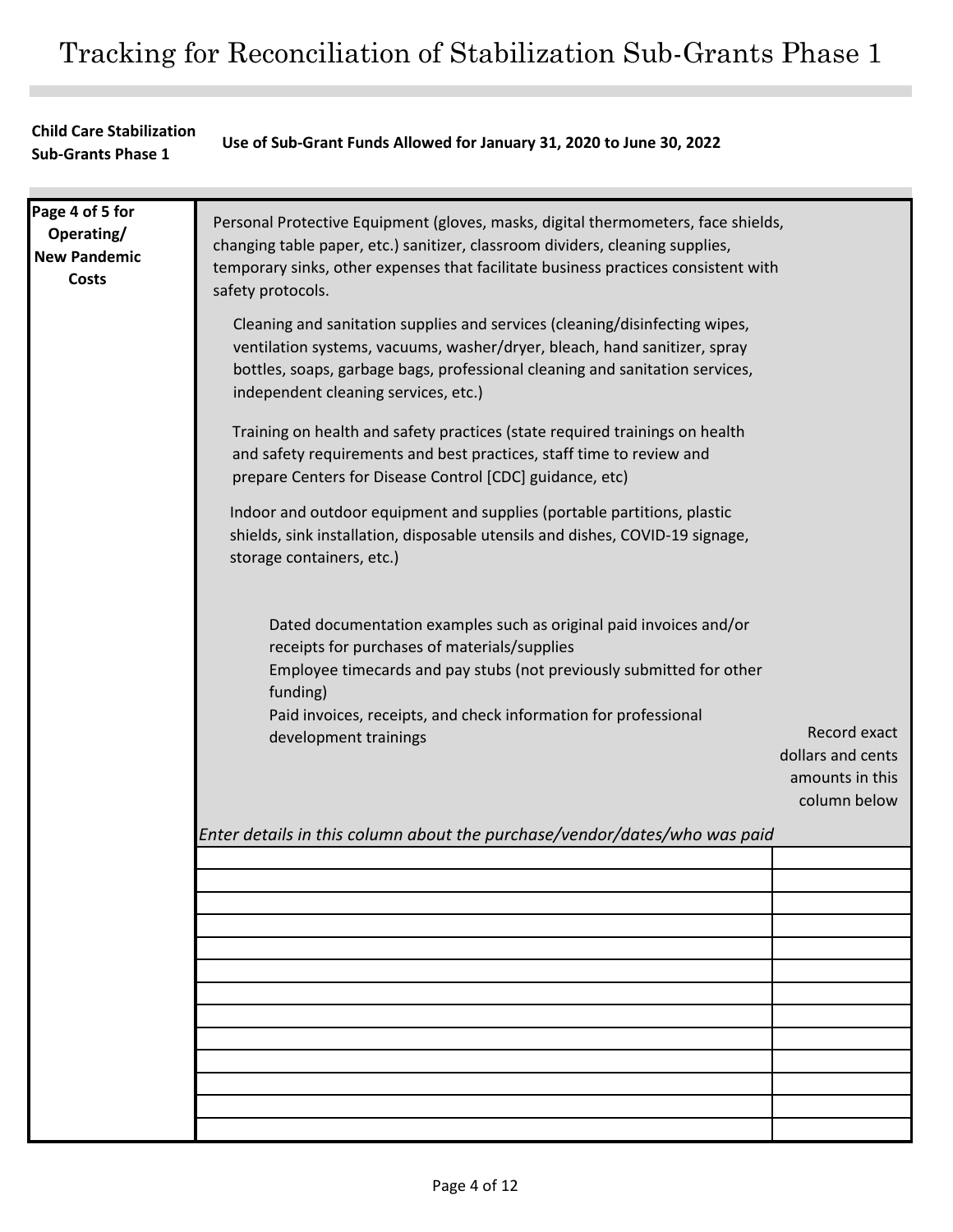## **Child Care Stabilization Sub-Grants Phase 1 Use of Sub-Grant Funds Allowed for January 31, 2020 to June 30, 2022**

| Page 4 of 5 for<br>Operating/<br><b>New Pandemic</b><br><b>Costs</b> | Personal Protective Equipment (gloves, masks, digital thermometers, face shields,<br>changing table paper, etc.) sanitizer, classroom dividers, cleaning supplies,<br>temporary sinks, other expenses that facilitate business practices consistent with<br>safety protocols.                      |                                                      |
|----------------------------------------------------------------------|----------------------------------------------------------------------------------------------------------------------------------------------------------------------------------------------------------------------------------------------------------------------------------------------------|------------------------------------------------------|
|                                                                      | Cleaning and sanitation supplies and services (cleaning/disinfecting wipes,<br>ventilation systems, vacuums, washer/dryer, bleach, hand sanitizer, spray<br>bottles, soaps, garbage bags, professional cleaning and sanitation services,<br>independent cleaning services, etc.)                   |                                                      |
|                                                                      | Training on health and safety practices (state required trainings on health<br>and safety requirements and best practices, staff time to review and<br>prepare Centers for Disease Control [CDC] guidance, etc)                                                                                    |                                                      |
|                                                                      | Indoor and outdoor equipment and supplies (portable partitions, plastic<br>shields, sink installation, disposable utensils and dishes, COVID-19 signage,<br>storage containers, etc.)                                                                                                              |                                                      |
|                                                                      | Dated documentation examples such as original paid invoices and/or<br>receipts for purchases of materials/supplies<br>Employee timecards and pay stubs (not previously submitted for other<br>funding)<br>Paid invoices, receipts, and check information for professional<br>development trainings | Record exact                                         |
|                                                                      |                                                                                                                                                                                                                                                                                                    | dollars and cents<br>amounts in this<br>column below |
|                                                                      | Enter details in this column about the purchase/vendor/dates/who was paid                                                                                                                                                                                                                          |                                                      |
|                                                                      |                                                                                                                                                                                                                                                                                                    |                                                      |
|                                                                      |                                                                                                                                                                                                                                                                                                    |                                                      |
|                                                                      |                                                                                                                                                                                                                                                                                                    |                                                      |
|                                                                      |                                                                                                                                                                                                                                                                                                    |                                                      |
|                                                                      |                                                                                                                                                                                                                                                                                                    |                                                      |
|                                                                      |                                                                                                                                                                                                                                                                                                    |                                                      |
|                                                                      |                                                                                                                                                                                                                                                                                                    |                                                      |
|                                                                      |                                                                                                                                                                                                                                                                                                    |                                                      |
|                                                                      |                                                                                                                                                                                                                                                                                                    |                                                      |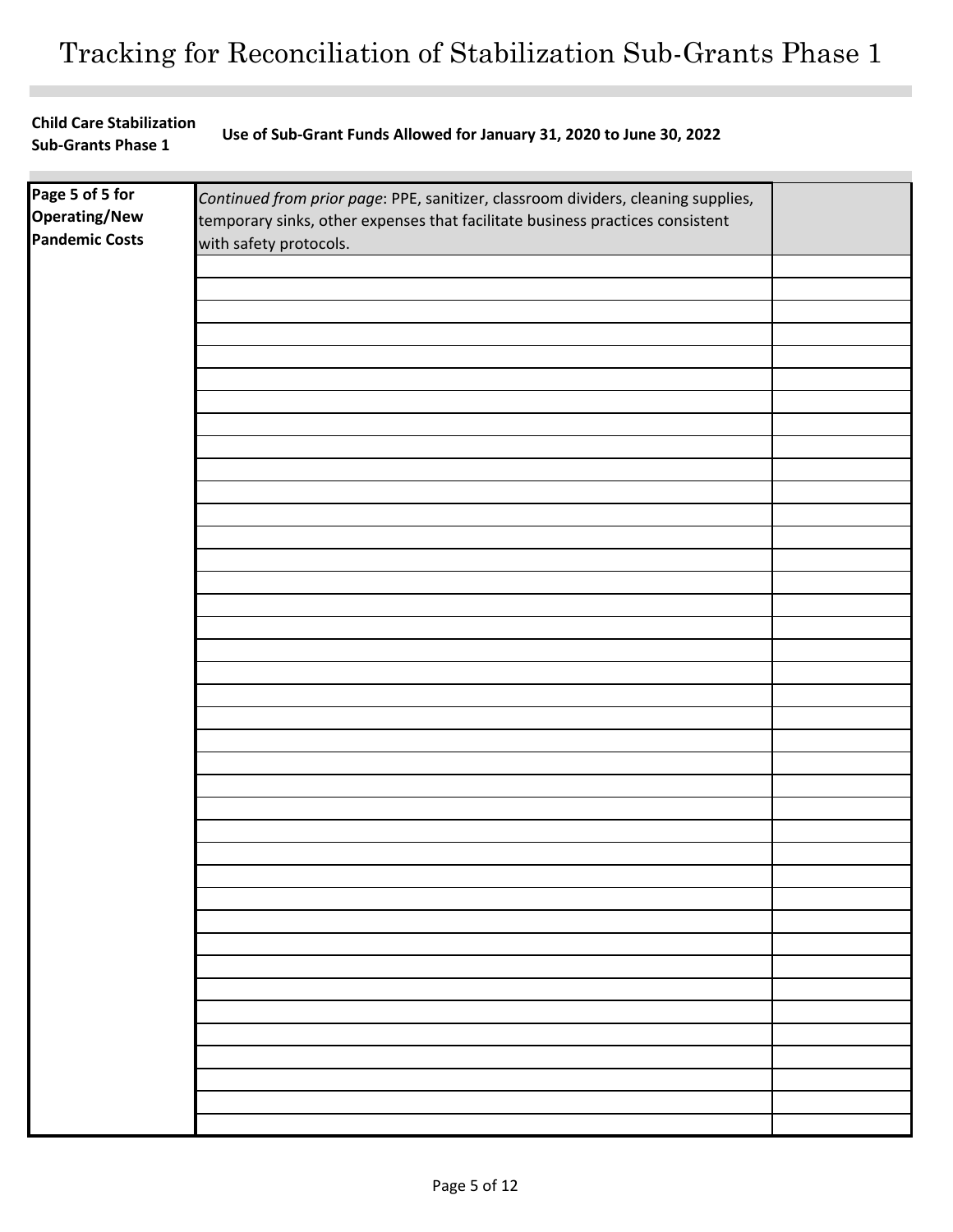| <b>Child Care Stabilization</b> | Use of Sub-Grant Funds Allowed for January 31, 2020 to June 30, 2022 |
|---------------------------------|----------------------------------------------------------------------|
| <b>Sub-Grants Phase 1</b>       |                                                                      |

| Page 5 of 5 for<br><b>Operating/New</b><br><b>Pandemic Costs</b> | Continued from prior page: PPE, sanitizer, classroom dividers, cleaning supplies,<br>temporary sinks, other expenses that facilitate business practices consistent<br>with safety protocols. |  |
|------------------------------------------------------------------|----------------------------------------------------------------------------------------------------------------------------------------------------------------------------------------------|--|
|                                                                  |                                                                                                                                                                                              |  |
|                                                                  |                                                                                                                                                                                              |  |
|                                                                  |                                                                                                                                                                                              |  |
|                                                                  |                                                                                                                                                                                              |  |
|                                                                  |                                                                                                                                                                                              |  |
|                                                                  |                                                                                                                                                                                              |  |
|                                                                  |                                                                                                                                                                                              |  |
|                                                                  |                                                                                                                                                                                              |  |
|                                                                  |                                                                                                                                                                                              |  |
|                                                                  |                                                                                                                                                                                              |  |
|                                                                  |                                                                                                                                                                                              |  |
|                                                                  |                                                                                                                                                                                              |  |
|                                                                  |                                                                                                                                                                                              |  |
|                                                                  |                                                                                                                                                                                              |  |
|                                                                  |                                                                                                                                                                                              |  |
|                                                                  |                                                                                                                                                                                              |  |
|                                                                  |                                                                                                                                                                                              |  |
|                                                                  |                                                                                                                                                                                              |  |
|                                                                  |                                                                                                                                                                                              |  |
|                                                                  |                                                                                                                                                                                              |  |
|                                                                  |                                                                                                                                                                                              |  |
|                                                                  |                                                                                                                                                                                              |  |
|                                                                  |                                                                                                                                                                                              |  |
|                                                                  |                                                                                                                                                                                              |  |
|                                                                  |                                                                                                                                                                                              |  |
|                                                                  |                                                                                                                                                                                              |  |
|                                                                  |                                                                                                                                                                                              |  |
|                                                                  |                                                                                                                                                                                              |  |
|                                                                  |                                                                                                                                                                                              |  |
|                                                                  |                                                                                                                                                                                              |  |
|                                                                  |                                                                                                                                                                                              |  |
|                                                                  |                                                                                                                                                                                              |  |
|                                                                  |                                                                                                                                                                                              |  |
|                                                                  |                                                                                                                                                                                              |  |
|                                                                  |                                                                                                                                                                                              |  |
|                                                                  |                                                                                                                                                                                              |  |
|                                                                  |                                                                                                                                                                                              |  |
|                                                                  |                                                                                                                                                                                              |  |
|                                                                  |                                                                                                                                                                                              |  |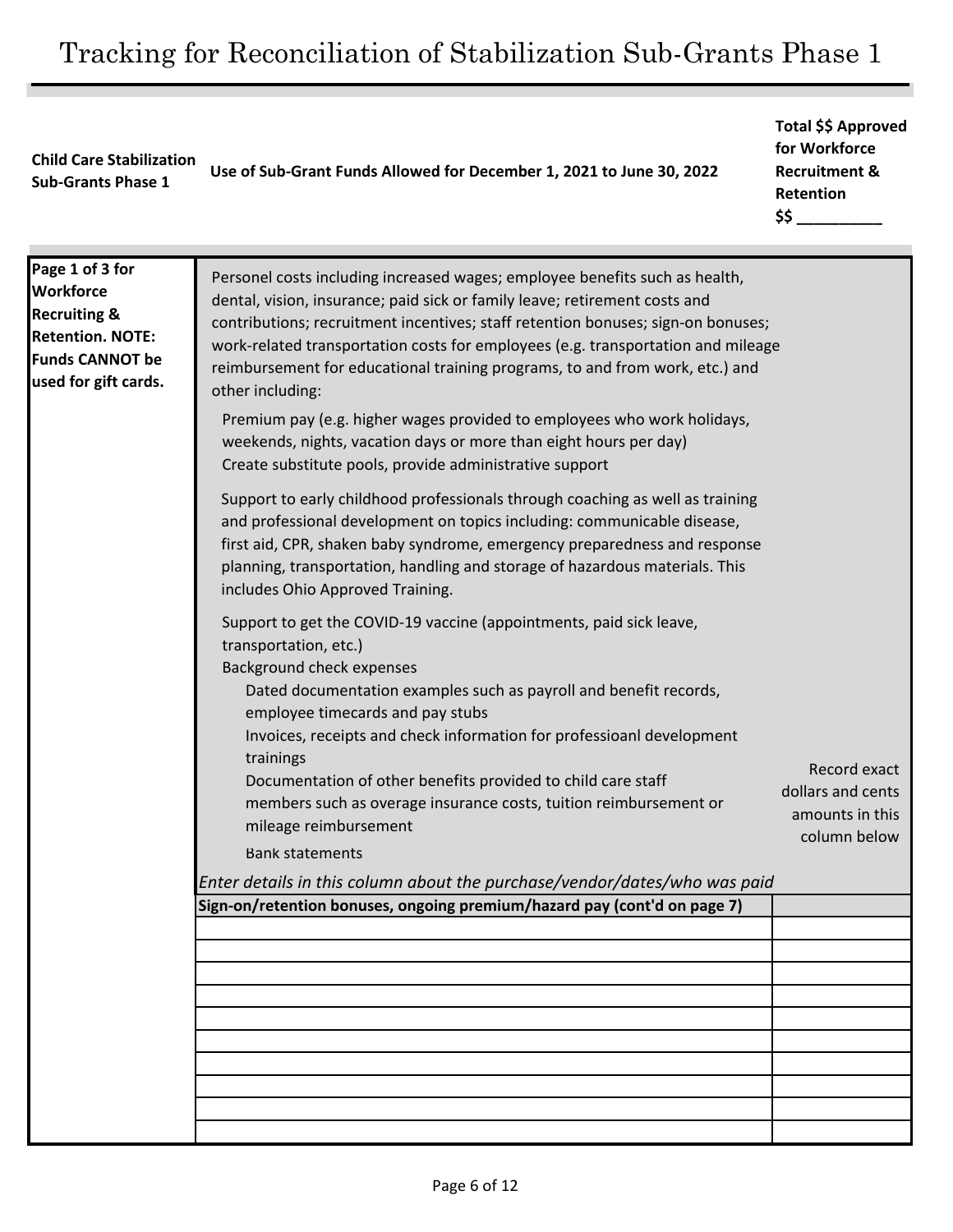# **Child Care Stabilization Sub-Grants Phase 1 Use of Sub-Grant Funds Allowed for December 1, 2021 to June 30, 2022**

# **Total \$\$ Approved for Workforce Recruitment & Retention \$\$ \_\_\_\_\_\_\_\_\_\_**

| Page 1 of 3 for<br><b>Workforce</b><br><b>Recruiting &amp;</b><br><b>Retention. NOTE:</b><br><b>Funds CANNOT be</b><br>used for gift cards. | Personel costs including increased wages; employee benefits such as health,<br>dental, vision, insurance; paid sick or family leave; retirement costs and<br>contributions; recruitment incentives; staff retention bonuses; sign-on bonuses;<br>work-related transportation costs for employees (e.g. transportation and mileage<br>reimbursement for educational training programs, to and from work, etc.) and<br>other including: |                                   |
|---------------------------------------------------------------------------------------------------------------------------------------------|---------------------------------------------------------------------------------------------------------------------------------------------------------------------------------------------------------------------------------------------------------------------------------------------------------------------------------------------------------------------------------------------------------------------------------------|-----------------------------------|
|                                                                                                                                             | Premium pay (e.g. higher wages provided to employees who work holidays,<br>weekends, nights, vacation days or more than eight hours per day)<br>Create substitute pools, provide administrative support                                                                                                                                                                                                                               |                                   |
|                                                                                                                                             | Support to early childhood professionals through coaching as well as training<br>and professional development on topics including: communicable disease,<br>first aid, CPR, shaken baby syndrome, emergency preparedness and response<br>planning, transportation, handling and storage of hazardous materials. This<br>includes Ohio Approved Training.                                                                              |                                   |
|                                                                                                                                             | Support to get the COVID-19 vaccine (appointments, paid sick leave,<br>transportation, etc.)<br>Background check expenses<br>Dated documentation examples such as payroll and benefit records,<br>employee timecards and pay stubs<br>Invoices, receipts and check information for professioanl development<br>trainings<br>Documentation of other benefits provided to child care staff                                              | Record exact<br>dollars and cents |
|                                                                                                                                             | members such as overage insurance costs, tuition reimbursement or<br>mileage reimbursement<br><b>Bank statements</b>                                                                                                                                                                                                                                                                                                                  | amounts in this<br>column below   |
|                                                                                                                                             | Enter details in this column about the purchase/vendor/dates/who was paid                                                                                                                                                                                                                                                                                                                                                             |                                   |
|                                                                                                                                             | Sign-on/retention bonuses, ongoing premium/hazard pay (cont'd on page 7)                                                                                                                                                                                                                                                                                                                                                              |                                   |
|                                                                                                                                             |                                                                                                                                                                                                                                                                                                                                                                                                                                       |                                   |
|                                                                                                                                             |                                                                                                                                                                                                                                                                                                                                                                                                                                       |                                   |
|                                                                                                                                             |                                                                                                                                                                                                                                                                                                                                                                                                                                       |                                   |
|                                                                                                                                             |                                                                                                                                                                                                                                                                                                                                                                                                                                       |                                   |
|                                                                                                                                             |                                                                                                                                                                                                                                                                                                                                                                                                                                       |                                   |
|                                                                                                                                             |                                                                                                                                                                                                                                                                                                                                                                                                                                       |                                   |
|                                                                                                                                             |                                                                                                                                                                                                                                                                                                                                                                                                                                       |                                   |
|                                                                                                                                             |                                                                                                                                                                                                                                                                                                                                                                                                                                       |                                   |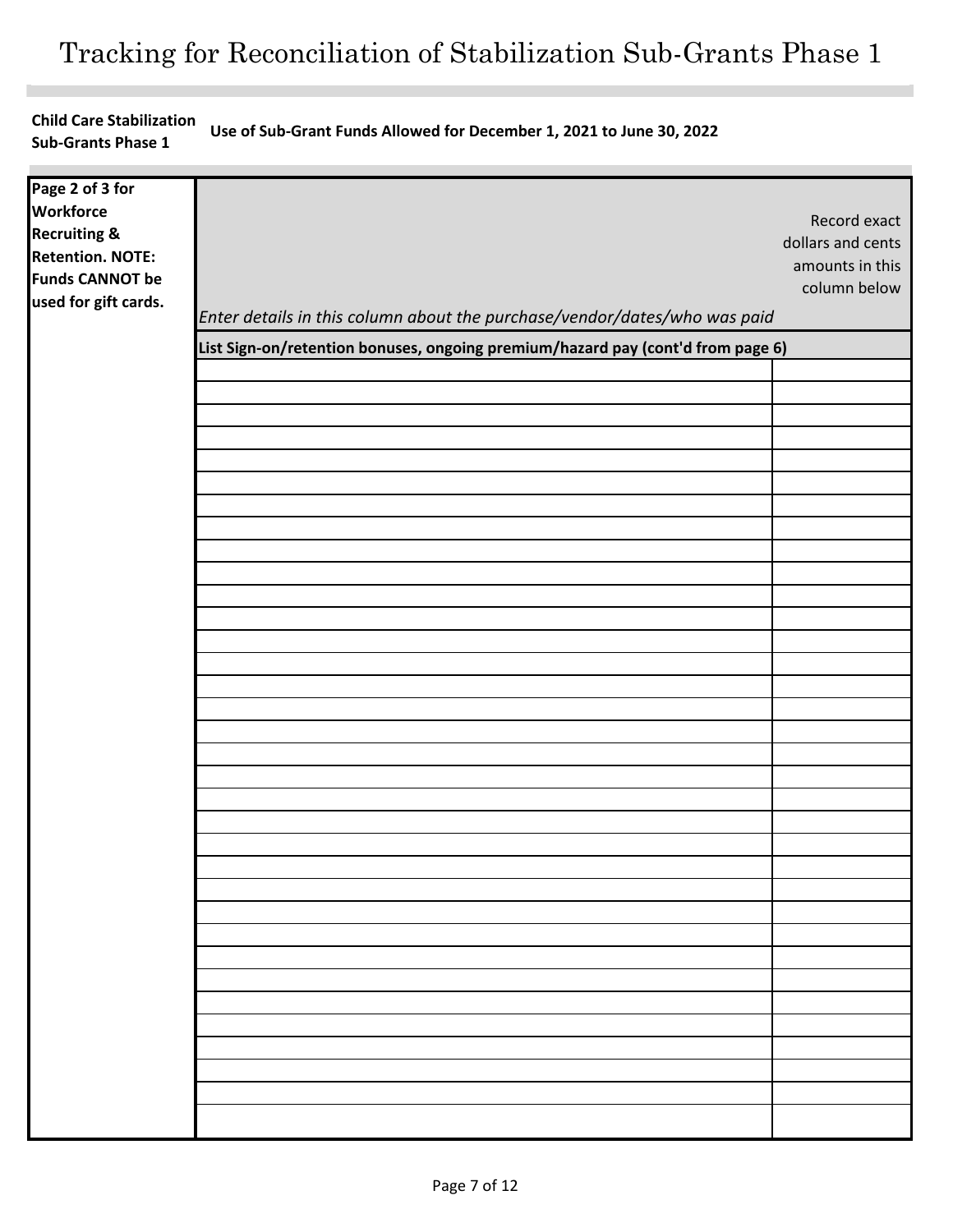**Child Care Stabilization Sub-Grants Phase 1 Use of Sub-Grant Funds Allowed for December 1, 2021 to June 30, 2022**

| Page 2 of 3 for         |                                                                                 |                   |
|-------------------------|---------------------------------------------------------------------------------|-------------------|
| <b>Workforce</b>        |                                                                                 |                   |
| <b>Recruiting &amp;</b> |                                                                                 | Record exact      |
| <b>Retention. NOTE:</b> |                                                                                 | dollars and cents |
| <b>Funds CANNOT be</b>  |                                                                                 | amounts in this   |
| used for gift cards.    |                                                                                 | column below      |
|                         | Enter details in this column about the purchase/vendor/dates/who was paid       |                   |
|                         | List Sign-on/retention bonuses, ongoing premium/hazard pay (cont'd from page 6) |                   |
|                         |                                                                                 |                   |
|                         |                                                                                 |                   |
|                         |                                                                                 |                   |
|                         |                                                                                 |                   |
|                         |                                                                                 |                   |
|                         |                                                                                 |                   |
|                         |                                                                                 |                   |
|                         |                                                                                 |                   |
|                         |                                                                                 |                   |
|                         |                                                                                 |                   |
|                         |                                                                                 |                   |
|                         |                                                                                 |                   |
|                         |                                                                                 |                   |
|                         |                                                                                 |                   |
|                         |                                                                                 |                   |
|                         |                                                                                 |                   |
|                         |                                                                                 |                   |
|                         |                                                                                 |                   |
|                         |                                                                                 |                   |
|                         |                                                                                 |                   |
|                         |                                                                                 |                   |
|                         |                                                                                 |                   |
|                         |                                                                                 |                   |
|                         |                                                                                 |                   |
|                         |                                                                                 |                   |
|                         |                                                                                 |                   |
|                         |                                                                                 |                   |
|                         |                                                                                 |                   |
|                         |                                                                                 |                   |
|                         |                                                                                 |                   |
|                         |                                                                                 |                   |
|                         |                                                                                 |                   |
|                         |                                                                                 |                   |
|                         |                                                                                 |                   |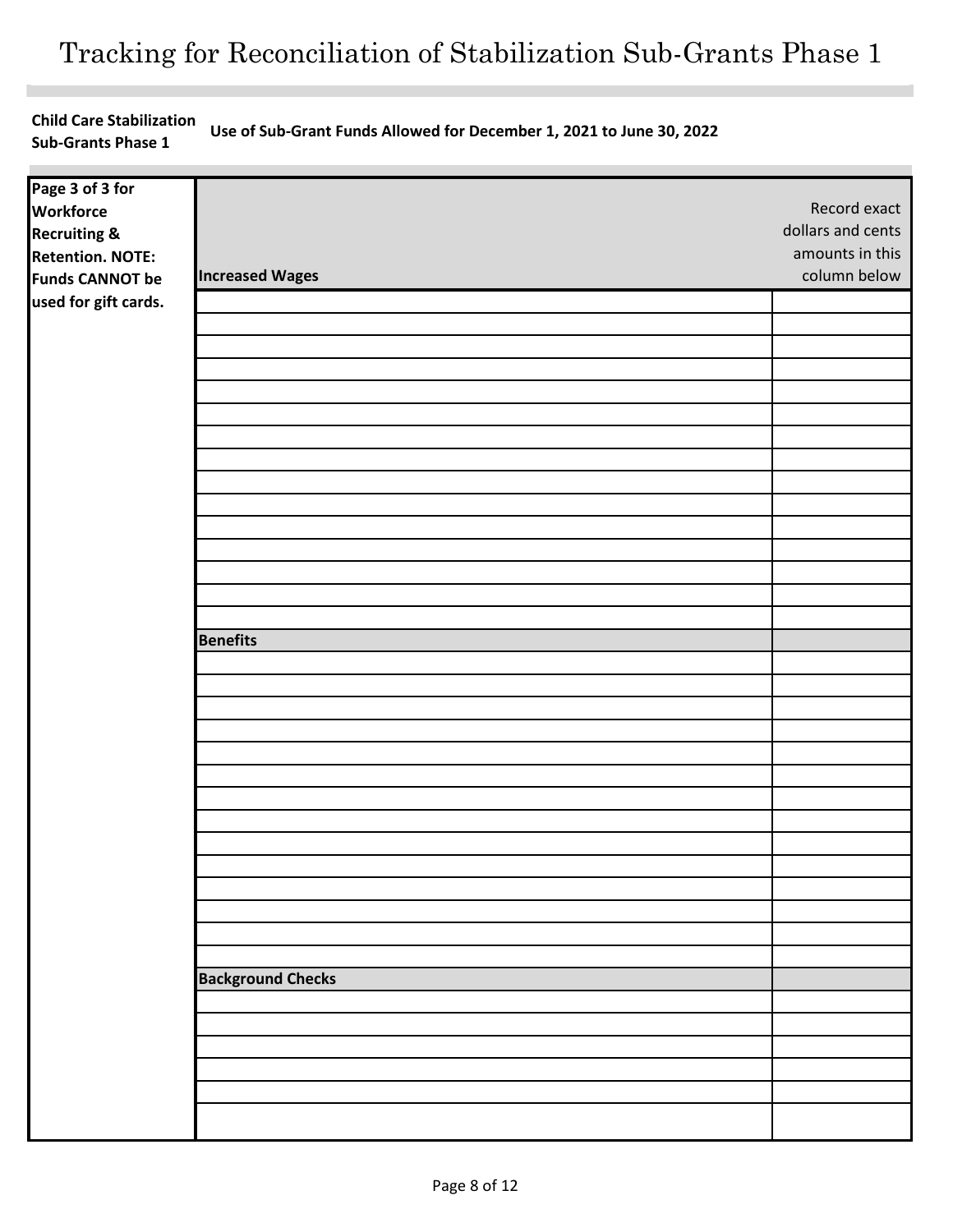**Child Care Stabilization Sub-Grants Phase 1 Use of Sub-Grant Funds Allowed for December 1, 2021 to June 30, 2022**

| Page 3 of 3 for<br><b>Workforce</b> |                          | Record exact      |
|-------------------------------------|--------------------------|-------------------|
| <b>Recruiting &amp;</b>             |                          | dollars and cents |
| <b>Retention. NOTE:</b>             |                          | amounts in this   |
| <b>Funds CANNOT be</b>              | <b>Increased Wages</b>   | column below      |
| used for gift cards.                |                          |                   |
|                                     |                          |                   |
|                                     |                          |                   |
|                                     |                          |                   |
|                                     |                          |                   |
|                                     |                          |                   |
|                                     |                          |                   |
|                                     |                          |                   |
|                                     |                          |                   |
|                                     |                          |                   |
|                                     |                          |                   |
|                                     |                          |                   |
|                                     |                          |                   |
|                                     |                          |                   |
|                                     |                          |                   |
|                                     |                          |                   |
|                                     | <b>Benefits</b>          |                   |
|                                     |                          |                   |
|                                     |                          |                   |
|                                     |                          |                   |
|                                     |                          |                   |
|                                     |                          |                   |
|                                     |                          |                   |
|                                     |                          |                   |
|                                     |                          |                   |
|                                     |                          |                   |
|                                     |                          |                   |
|                                     |                          |                   |
|                                     |                          |                   |
|                                     |                          |                   |
|                                     |                          |                   |
|                                     | <b>Background Checks</b> |                   |
|                                     |                          |                   |
|                                     |                          |                   |
|                                     |                          |                   |
|                                     |                          |                   |
|                                     |                          |                   |
|                                     |                          |                   |
|                                     |                          |                   |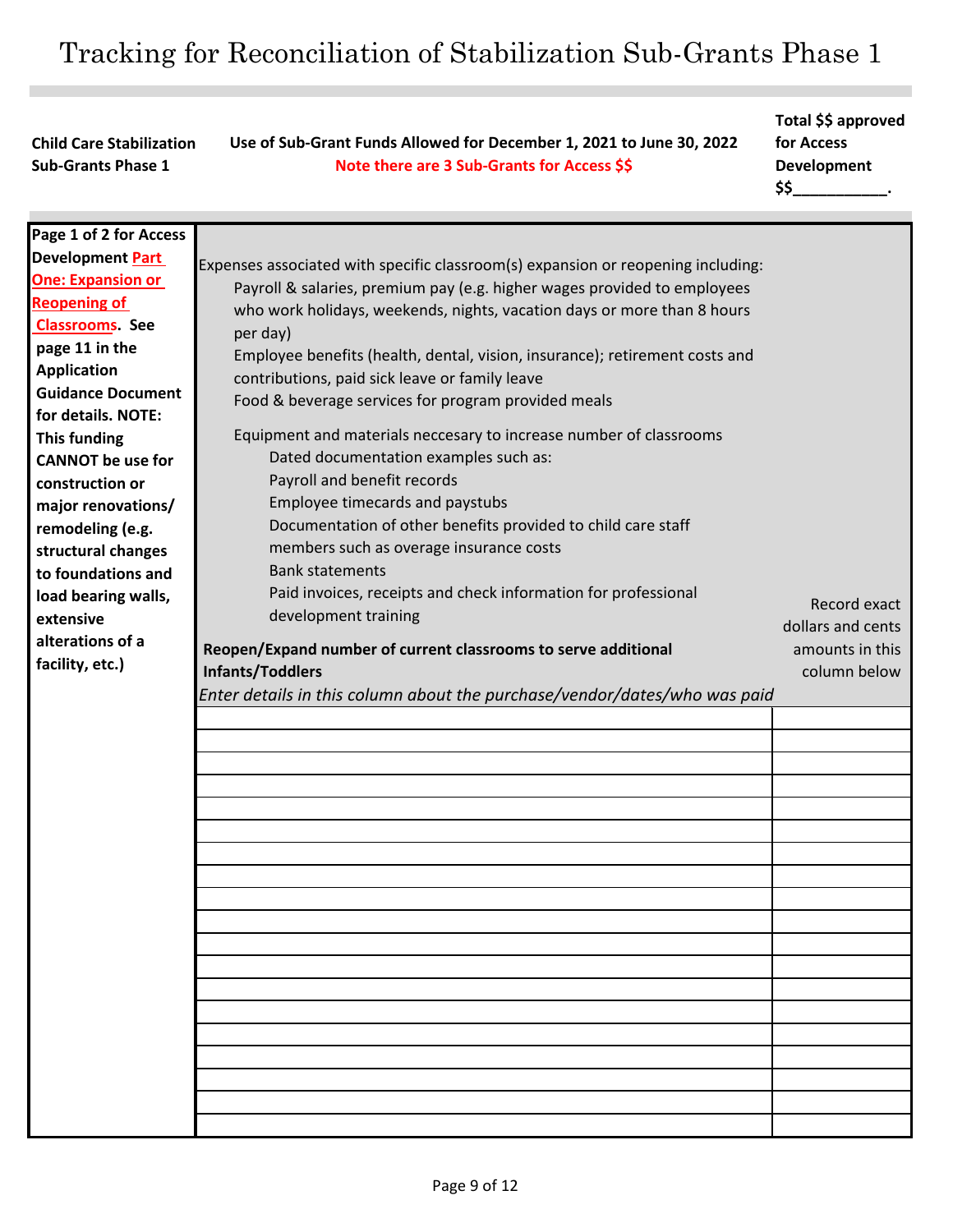**Use of Sub-Grant Funds Allowed for December 1, 2021 to June 30, 2022 Note there are 3 Sub-Grants for Access \$\$**

**Total \$\$ approved** 

**for Access Development** 

**Child Care Stabilization Sub-Grants Phase 1** 

**\$\$\_\_\_\_\_\_\_\_\_\_\_.**  Expenses associated with specific classroom(s) expansion or reopening including: Payroll & salaries, premium pay (e.g. higher wages provided to employees who work holidays, weekends, nights, vacation days or more than 8 hours per day) Employee benefits (health, dental, vision, insurance); retirement costs and contributions, paid sick leave or family leave Food & beverage services for program provided meals Equipment and materials neccesary to increase number of classrooms Dated documentation examples such as: Payroll and benefit records Employee timecards and paystubs Documentation of other benefits provided to child care staff members such as overage insurance costs Bank statements Paid invoices, receipts and check information for professional development training **Reopen/Expand number of current classrooms to serve additional Infants/Toddlers**  *Enter details in this column about the purchase/vendor/dates/who was paid* **Page 1 of 2 for Access Development Part One: Expansion or Reopening of Classrooms. See page 11 in the Application Guidance Document for details. NOTE: This funding CANNOT be use for construction or major renovations/ remodeling (e.g. structural changes to foundations and load bearing walls, extensive alterations of a facility, etc.)**  Record exact dollars and cents amounts in this column below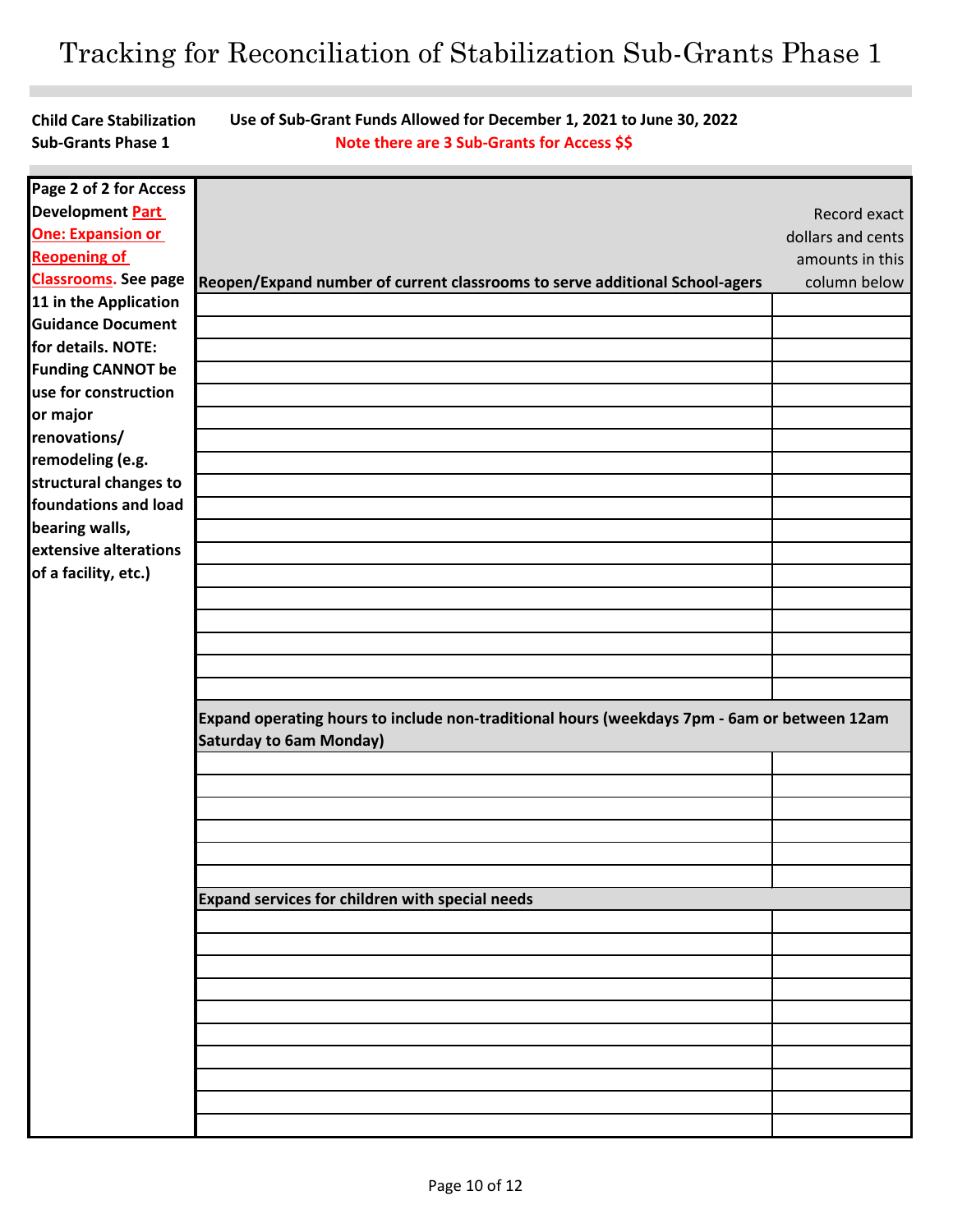**Child Care Stabilization Sub-Grants Phase 1** 

**Use of Sub-Grant Funds Allowed for December 1, 2021 to June 30, 2022 Note there are 3 Sub-Grants for Access \$\$**

| Page 2 of 2 for Access      |                                                                                                                               |                   |
|-----------------------------|-------------------------------------------------------------------------------------------------------------------------------|-------------------|
| Development Part            |                                                                                                                               | Record exact      |
| <b>One: Expansion or</b>    |                                                                                                                               | dollars and cents |
| <b>Reopening of</b>         |                                                                                                                               | amounts in this   |
| <b>Classrooms.</b> See page | Reopen/Expand number of current classrooms to serve additional School-agers                                                   | column below      |
| 11 in the Application       |                                                                                                                               |                   |
| <b>Guidance Document</b>    |                                                                                                                               |                   |
| for details. NOTE:          |                                                                                                                               |                   |
| <b>Funding CANNOT be</b>    |                                                                                                                               |                   |
| use for construction        |                                                                                                                               |                   |
| or major                    |                                                                                                                               |                   |
| renovations/                |                                                                                                                               |                   |
| remodeling (e.g.            |                                                                                                                               |                   |
| structural changes to       |                                                                                                                               |                   |
| foundations and load        |                                                                                                                               |                   |
| bearing walls,              |                                                                                                                               |                   |
| extensive alterations       |                                                                                                                               |                   |
| of a facility, etc.)        |                                                                                                                               |                   |
|                             |                                                                                                                               |                   |
|                             |                                                                                                                               |                   |
|                             |                                                                                                                               |                   |
|                             |                                                                                                                               |                   |
|                             |                                                                                                                               |                   |
|                             |                                                                                                                               |                   |
|                             | Expand operating hours to include non-traditional hours (weekdays 7pm - 6am or between 12am<br><b>Saturday to 6am Monday)</b> |                   |
|                             |                                                                                                                               |                   |
|                             |                                                                                                                               |                   |
|                             |                                                                                                                               |                   |
|                             |                                                                                                                               |                   |
|                             |                                                                                                                               |                   |
|                             |                                                                                                                               |                   |
|                             | Expand services for children with special needs                                                                               |                   |
|                             |                                                                                                                               |                   |
|                             |                                                                                                                               |                   |
|                             |                                                                                                                               |                   |
|                             |                                                                                                                               |                   |
|                             |                                                                                                                               |                   |
|                             |                                                                                                                               |                   |
|                             |                                                                                                                               |                   |
|                             |                                                                                                                               |                   |
|                             |                                                                                                                               |                   |
|                             |                                                                                                                               |                   |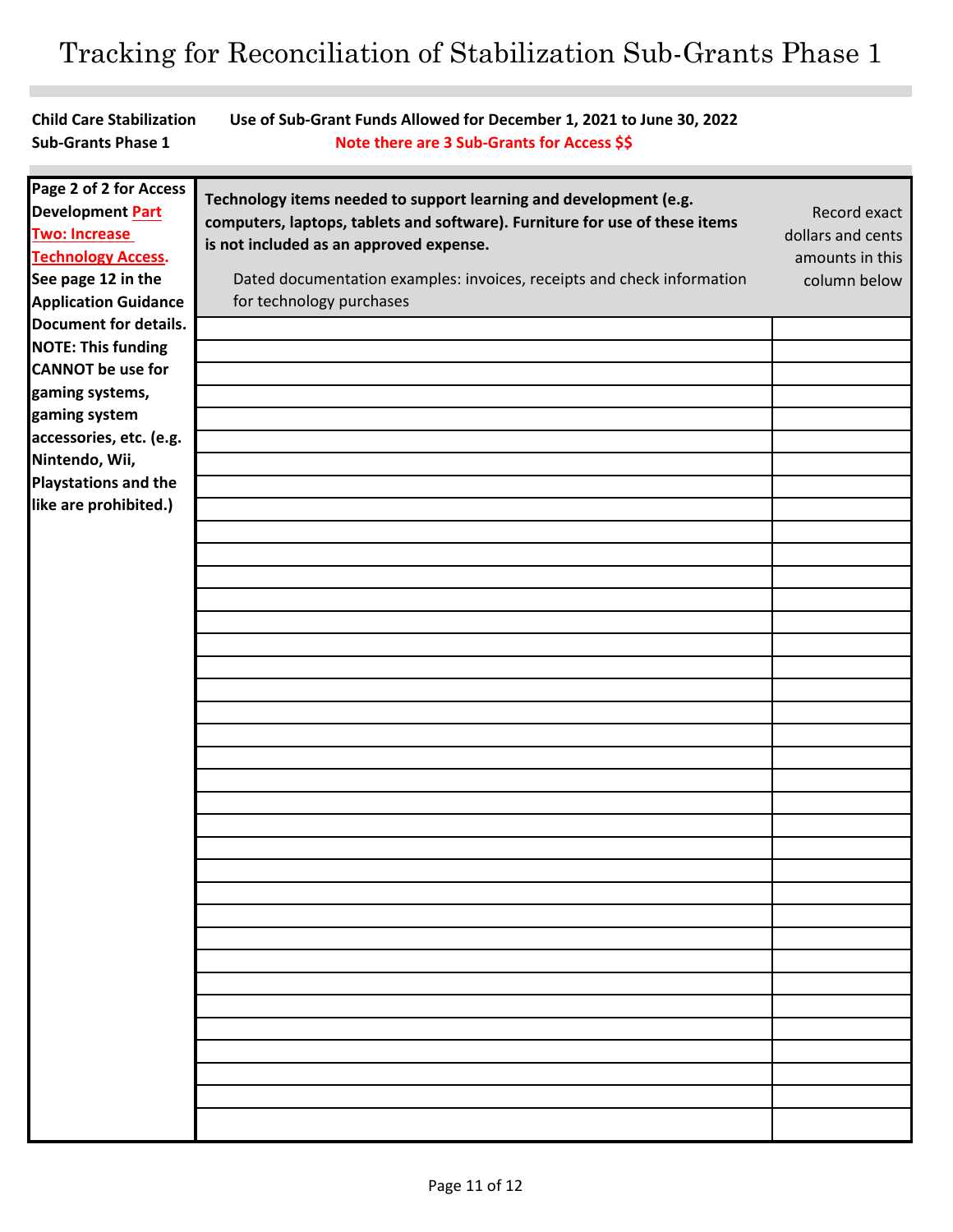**Child Care Stabilization** 

**Sub-Grants Phase 1 Use of Sub-Grant Funds Allowed for December 1, 2021 to June 30, 2022 Note there are 3 Sub-Grants for Access \$\$ Technology items needed to support learning and development (e.g. computers, laptops, tablets and software). Furniture for use of these items is not included as an approved expense.**  Dated documentation examples: invoices, receipts and check information for technology purchases Record exact dollars and cents amounts in this column below **Page 2 of 2 for Access Development Part Two: Increase Technology Access. See page 12 in the Application Guidance Document for details. NOTE: This funding CANNOT be use for gaming systems, gaming system accessories, etc. (e.g. Nintendo, Wii, Playstations and the like are prohibited.)**